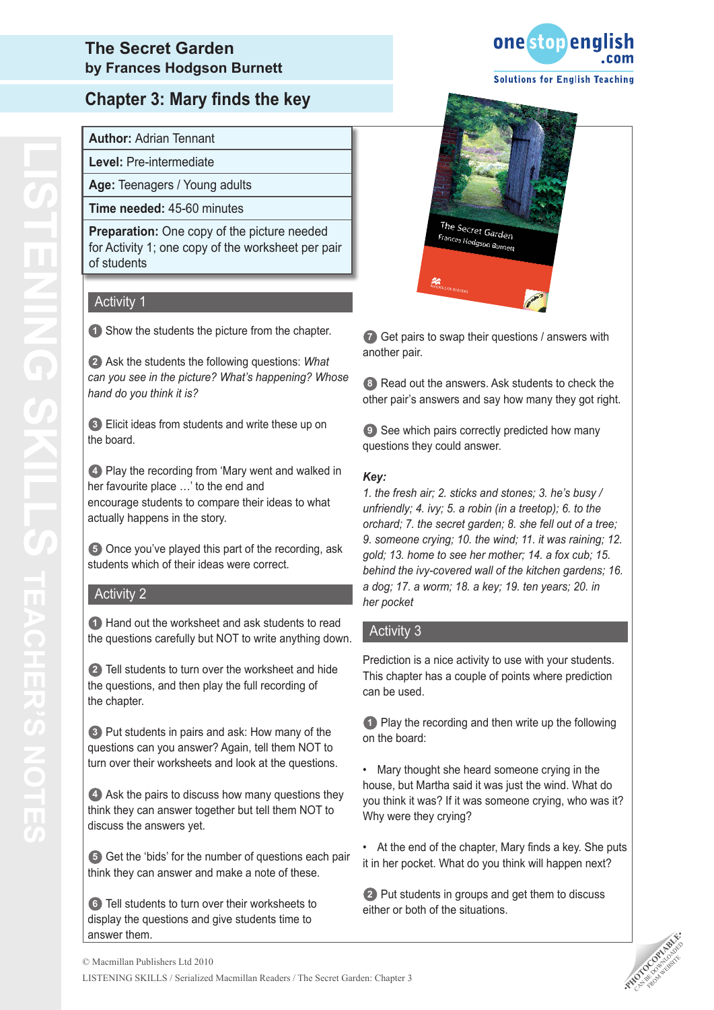## **Chapter 3: Mary finds the key**

**Author:** Adrian Tennant

**Level:** Pre-intermediate

**Age:** Teenagers / Young adults

**Time needed:** 45-60 minutes

**Preparation:** One copy of the picture needed for Activity 1; one copy of the worksheet per pair of students

#### Activity<sub>1</sub>

**1** Show the students the picture from the chapter.

**2** Ask the students the following questions: *What can you see in the picture? What's happening? Whose hand do you think it is?* 

**3** Elicit ideas from students and write these up on the board.

**4** Play the recording from 'Mary went and walked in her favourite place …' to the end and encourage students to compare their ideas to what actually happens in the story.

**5** Once you've played this part of the recording, ask students which of their ideas were correct.

#### Activity 2

**1** Hand out the worksheet and ask students to read the questions carefully but NOT to write anything down.

**2** Tell students to turn over the worksheet and hide the questions, and then play the full recording of the chapter.

**3** Put students in pairs and ask: How many of the questions can you answer? Again, tell them NOT to turn over their worksheets and look at the questions.

**4** Ask the pairs to discuss how many questions they think they can answer together but tell them NOT to discuss the answers yet.

**5** Get the 'bids' for the number of questions each pair think they can answer and make a note of these.

**6** Tell students to turn over their worksheets to display the questions and give students time to answer them.





**7** Get pairs to swap their questions / answers with another pair.

**8** Read out the answers. Ask students to check the other pair's answers and say how many they got right.

**9** See which pairs correctly predicted how many questions they could answer.

#### *Key:*

*1. the fresh air; 2. sticks and stones; 3. he's busy / unfriendly; 4. ivy; 5. a robin (in a treetop); 6. to the orchard; 7. the secret garden; 8. she fell out of a tree; 9. someone crying; 10. the wind; 11. it was raining; 12. gold; 13. home to see her mother; 14. a fox cub; 15. behind the ivy-covered wall of the kitchen gardens; 16. a dog; 17. a worm; 18. a key; 19. ten years; 20. in her pocket*

#### Activity 3

Prediction is a nice activity to use with your students. This chapter has a couple of points where prediction can be used.

**1** Play the recording and then write up the following on the board:

• Mary thought she heard someone crying in the house, but Martha said it was just the wind. What do you think it was? If it was someone crying, who was it? Why were they crying?

• At the end of the chapter, Mary finds a key. She puts it in her pocket. What do you think will happen next?

**2** Put students in groups and get them to discuss either or both of the situations.

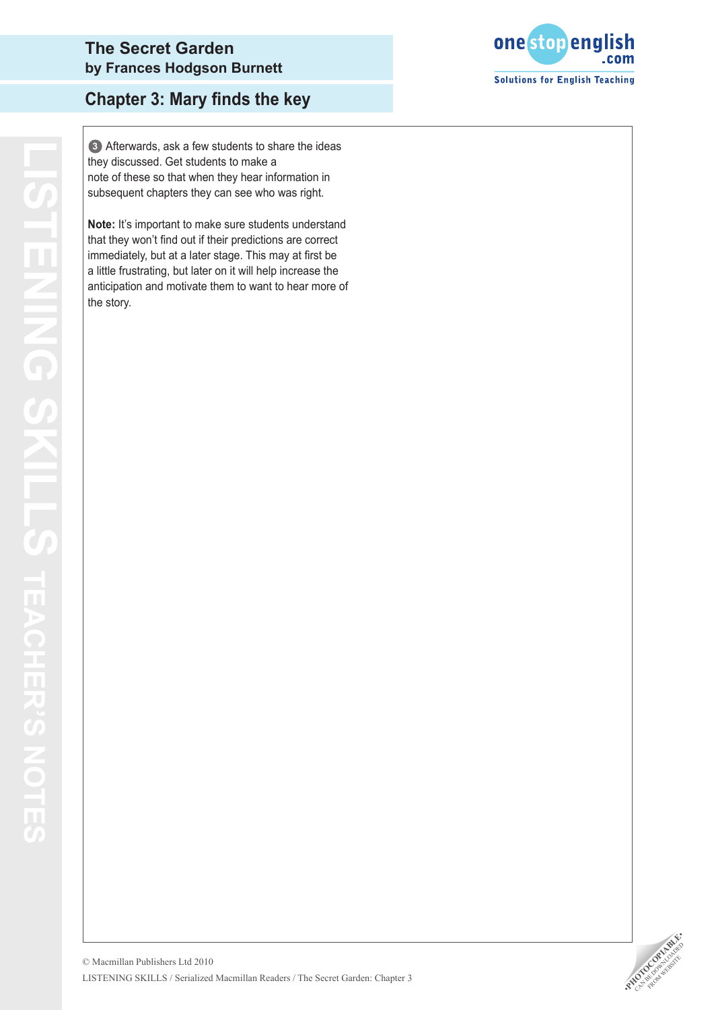

## **Chapter 3: Mary finds the key**

they discussed. Get students to make a note of these so that when they hear information in subsequent chapters they can see who was right.

(@) Aftenwards, ask a few students to make a<br>they discussed. Get students to make a<br>note of these so that when they hear information in<br>subsequent chaptes they can see who was right.<br>Note: It's important to make sure stude **Note:** It's important to make sure students understand that they won't find out if their predictions are correct immediately, but at a later stage. This may at first be a little frustrating, but later on it will help increase the anticipation and motivate them to want to hear more of the story.

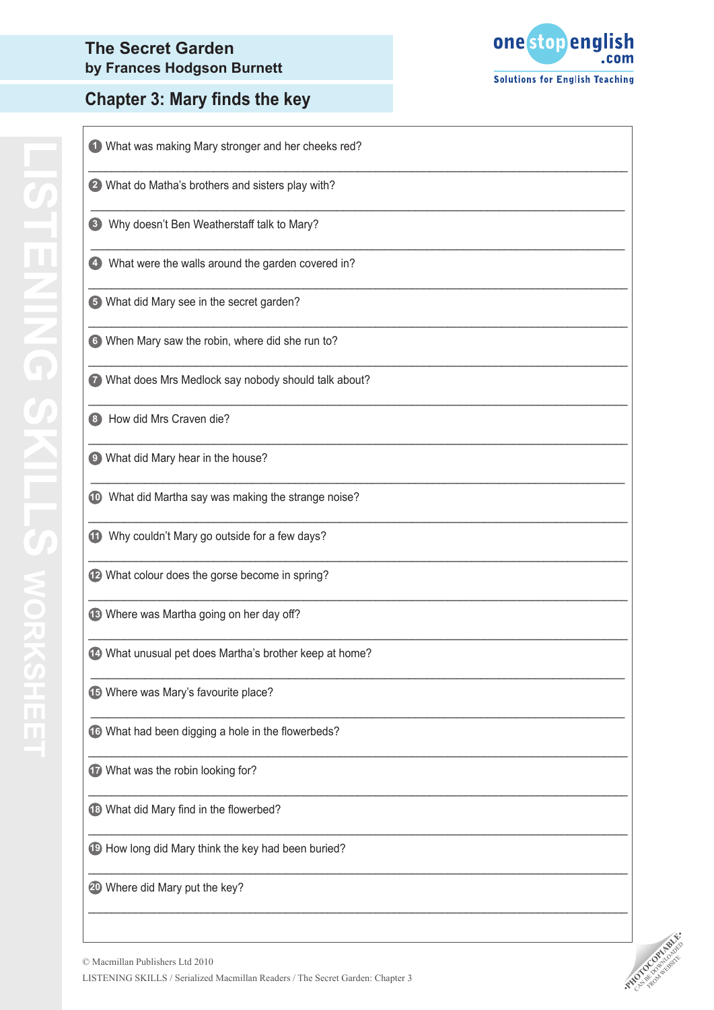## **Chapter 3: Mary finds the key**



| 1 What was making Mary stronger and her cheeks red?             |
|-----------------------------------------------------------------|
| 2 What do Matha's brothers and sisters play with?               |
| Why doesn't Ben Weatherstaff talk to Mary?<br>$\vert 3 \rangle$ |
| 4 What were the walls around the garden covered in?             |
| 5 What did Mary see in the secret garden?                       |
| 6 When Mary saw the robin, where did she run to?                |
| 7 What does Mrs Medlock say nobody should talk about?           |
| How did Mrs Craven die?<br>3                                    |
| <sup>9</sup> What did Mary hear in the house?                   |
| 10 What did Martha say was making the strange noise?            |
| 11 Why couldn't Mary go outside for a few days?                 |
| 12 What colour does the gorse become in spring?                 |
| 13 Where was Martha going on her day off?                       |
| 14 What unusual pet does Martha's brother keep at home?         |
| 45 Where was Mary's favourite place?                            |
| 16 What had been digging a hole in the flowerbeds?              |
| 17 What was the robin looking for?                              |
| 18 What did Mary find in the flowerbed?                         |
| 19 How long did Mary think the key had been buried?             |
| 20 Where did Mary put the key?                                  |

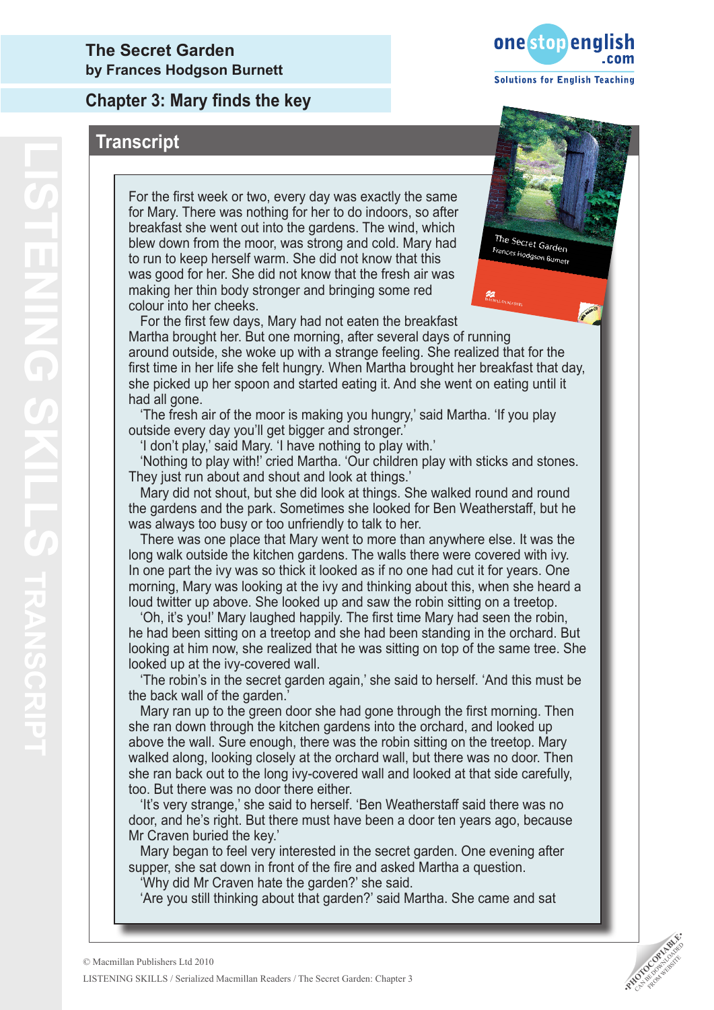### **Chapter 3: Mary finds the key**

### **Transcript**

For the first week or two, every day was exactly the same for Mary. There was nothing for her to do indoors, so after breakfast she went out into the gardens. The wind, which blew down from the moor, was strong and cold. Mary had to run to keep herself warm. She did not know that this was good for her. She did not know that the fresh air was making her thin body stronger and bringing some red colour into her cheeks.



The Secret Garden Frances Hodgson Burnett

 For the first few days, Mary had not eaten the breakfast Martha brought her. But one morning, after several days of running around outside, she woke up with a strange feeling. She realized that for the first time in her life she felt hungry. When Martha brought her breakfast that day, she picked up her spoon and started eating it. And she went on eating until it had all gone.

 'The fresh air of the moor is making you hungry,' said Martha. 'If you play outside every day you'll get bigger and stronger.'

'I don't play,' said Mary. 'I have nothing to play with.'

 'Nothing to play with!' cried Martha. 'Our children play with sticks and stones. They just run about and shout and look at things.'

 Mary did not shout, but she did look at things. She walked round and round the gardens and the park. Sometimes she looked for Ben Weatherstaff, but he was always too busy or too unfriendly to talk to her.

 There was one place that Mary went to more than anywhere else. It was the long walk outside the kitchen gardens. The walls there were covered with ivy. In one part the ivy was so thick it looked as if no one had cut it for years. One morning, Mary was looking at the ivy and thinking about this, when she heard a loud twitter up above. She looked up and saw the robin sitting on a treetop.

 'Oh, it's you!' Mary laughed happily. The first time Mary had seen the robin, he had been sitting on a treetop and she had been standing in the orchard. But looking at him now, she realized that he was sitting on top of the same tree. She looked up at the ivy-covered wall.

 'The robin's in the secret garden again,' she said to herself. 'And this must be the back wall of the garden.'

 Mary ran up to the green door she had gone through the first morning. Then she ran down through the kitchen gardens into the orchard, and looked up above the wall. Sure enough, there was the robin sitting on the treetop. Mary walked along, looking closely at the orchard wall, but there was no door. Then she ran back out to the long ivy-covered wall and looked at that side carefully, too. But there was no door there either.

 'It's very strange,' she said to herself. 'Ben Weatherstaff said there was no door, and he's right. But there must have been a door ten years ago, because Mr Craven buried the key.'

 Mary began to feel very interested in the secret garden. One evening after supper, she sat down in front of the fire and asked Martha a question.

'Why did Mr Craven hate the garden?' she said.

'Are you still thinking about that garden?' said Martha. She came and sat

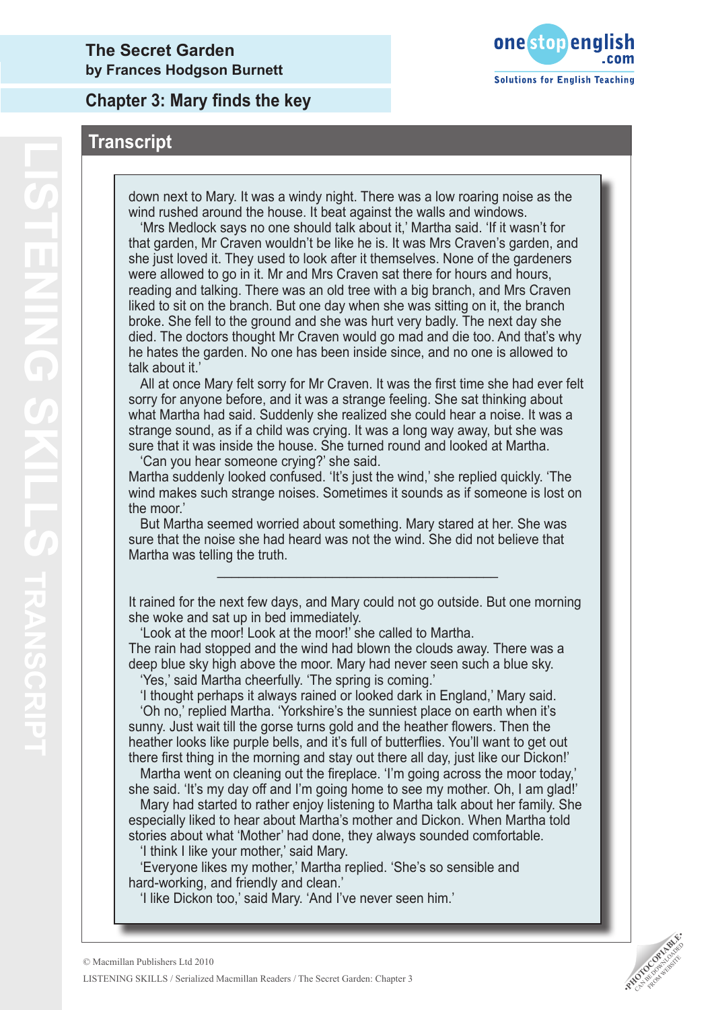**Chapter 3: Mary finds the key**



### **Transcript**

down next to Mary. It was a windy night. There was a low roaring noise as the wind rushed around the house. It beat against the walls and windows.

 'Mrs Medlock says no one should talk about it,' Martha said. 'If it wasn't for that garden, Mr Craven wouldn't be like he is. It was Mrs Craven's garden, and she just loved it. They used to look after it themselves. None of the gardeners were allowed to go in it. Mr and Mrs Craven sat there for hours and hours, reading and talking. There was an old tree with a big branch, and Mrs Craven liked to sit on the branch. But one day when she was sitting on it, the branch broke. She fell to the ground and she was hurt very badly. The next day she died. The doctors thought Mr Craven would go mad and die too. And that's why he hates the garden. No one has been inside since, and no one is allowed to talk about it.'

 All at once Mary felt sorry for Mr Craven. It was the first time she had ever felt sorry for anyone before, and it was a strange feeling. She sat thinking about what Martha had said. Suddenly she realized she could hear a noise. It was a strange sound, as if a child was crying. It was a long way away, but she was sure that it was inside the house. She turned round and looked at Martha. 'Can you hear someone crying?' she said.

Martha suddenly looked confused. 'It's just the wind,' she replied quickly. 'The wind makes such strange noises. Sometimes it sounds as if someone is lost on the moor.'

 But Martha seemed worried about something. Mary stared at her. She was sure that the noise she had heard was not the wind. She did not believe that Martha was telling the truth.

It rained for the next few days, and Mary could not go outside. But one morning she woke and sat up in bed immediately.

\_\_\_\_\_\_\_\_\_\_\_\_\_\_\_\_\_\_\_\_\_\_\_\_\_\_\_\_\_\_\_\_\_\_\_\_\_\_\_

 'Look at the moor! Look at the moor!' she called to Martha. The rain had stopped and the wind had blown the clouds away. There was a deep blue sky high above the moor. Mary had never seen such a blue sky.

'Yes,' said Martha cheerfully. 'The spring is coming.'

 'I thought perhaps it always rained or looked dark in England,' Mary said. 'Oh no,' replied Martha. 'Yorkshire's the sunniest place on earth when it's sunny. Just wait till the gorse turns gold and the heather flowers. Then the heather looks like purple bells, and it's full of butterflies. You'll want to get out there first thing in the morning and stay out there all day, just like our Dickon!'

 Martha went on cleaning out the fireplace. 'I'm going across the moor today,' she said. 'It's my day off and I'm going home to see my mother. Oh, I am glad!'

 Mary had started to rather enjoy listening to Martha talk about her family. She especially liked to hear about Martha's mother and Dickon. When Martha told stories about what 'Mother' had done, they always sounded comfortable.

'I think I like your mother,' said Mary.

 'Everyone likes my mother,' Martha replied. 'She's so sensible and hard-working, and friendly and clean.'

 'I like Dickon too,' said Mary. 'And I've never seen him.'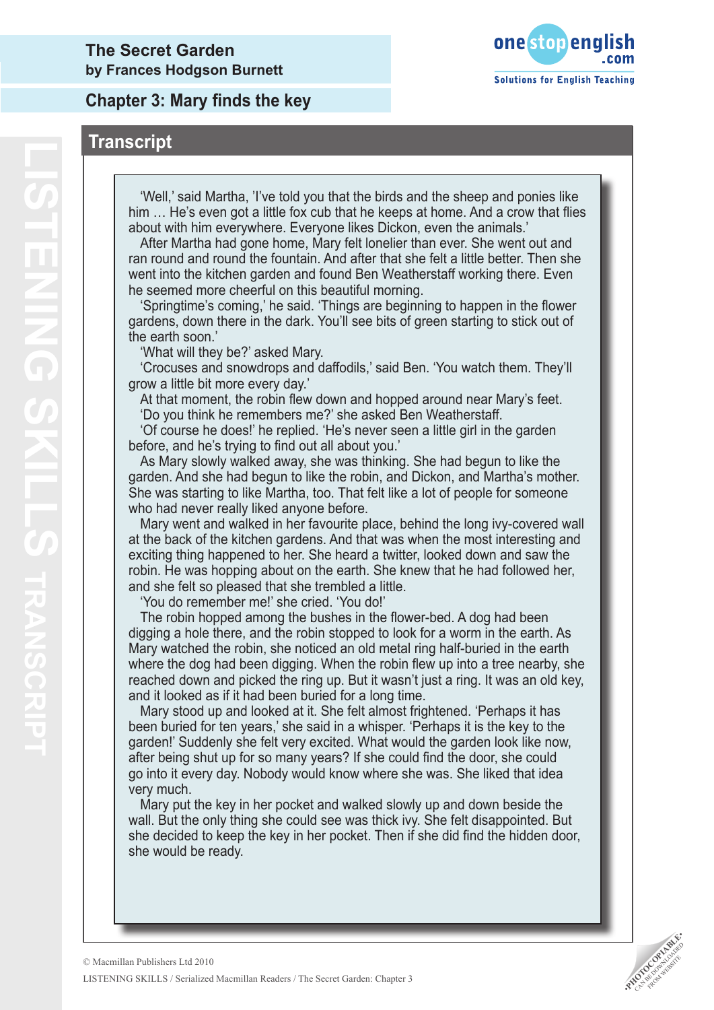**Chapter 3: Mary finds the key**





 'Well,' said Martha, 'I've told you that the birds and the sheep and ponies like him … He's even got a little fox cub that he keeps at home. And a crow that flies about with him everywhere. Everyone likes Dickon, even the animals.'

 After Martha had gone home, Mary felt lonelier than ever. She went out and ran round and round the fountain. And after that she felt a little better. Then she went into the kitchen garden and found Ben Weatherstaff working there. Even he seemed more cheerful on this beautiful morning.

 'Springtime's coming,' he said. 'Things are beginning to happen in the flower gardens, down there in the dark. You'll see bits of green starting to stick out of the earth soon.'

'What will they be?' asked Mary.

 'Crocuses and snowdrops and daffodils,' said Ben. 'You watch them. They'll grow a little bit more every day.'

 At that moment, the robin flew down and hopped around near Mary's feet. 'Do you think he remembers me?' she asked Ben Weatherstaff.

 'Of course he does!' he replied. 'He's never seen a little girl in the garden before, and he's trying to find out all about you.'

 As Mary slowly walked away, she was thinking. She had begun to like the garden. And she had begun to like the robin, and Dickon, and Martha's mother. She was starting to like Martha, too. That felt like a lot of people for someone who had never really liked anyone before.

 Mary went and walked in her favourite place, behind the long ivy-covered wall at the back of the kitchen gardens. And that was when the most interesting and exciting thing happened to her. She heard a twitter, looked down and saw the robin. He was hopping about on the earth. She knew that he had followed her, and she felt so pleased that she trembled a little.

'You do remember me!' she cried. 'You do!'

 The robin hopped among the bushes in the flower-bed. A dog had been digging a hole there, and the robin stopped to look for a worm in the earth. As Mary watched the robin, she noticed an old metal ring half-buried in the earth where the dog had been digging. When the robin flew up into a tree nearby, she reached down and picked the ring up. But it wasn't just a ring. It was an old key, and it looked as if it had been buried for a long time.

 Mary stood up and looked at it. She felt almost frightened. 'Perhaps it has been buried for ten years,' she said in a whisper. 'Perhaps it is the key to the garden!' Suddenly she felt very excited. What would the garden look like now, after being shut up for so many years? If she could find the door, she could go into it every day. Nobody would know where she was. She liked that idea very much.

 Mary put the key in her pocket and walked slowly up and down beside the wall. But the only thing she could see was thick ivy. She felt disappointed. But she decided to keep the key in her pocket. Then if she did find the hidden door, she would be ready.